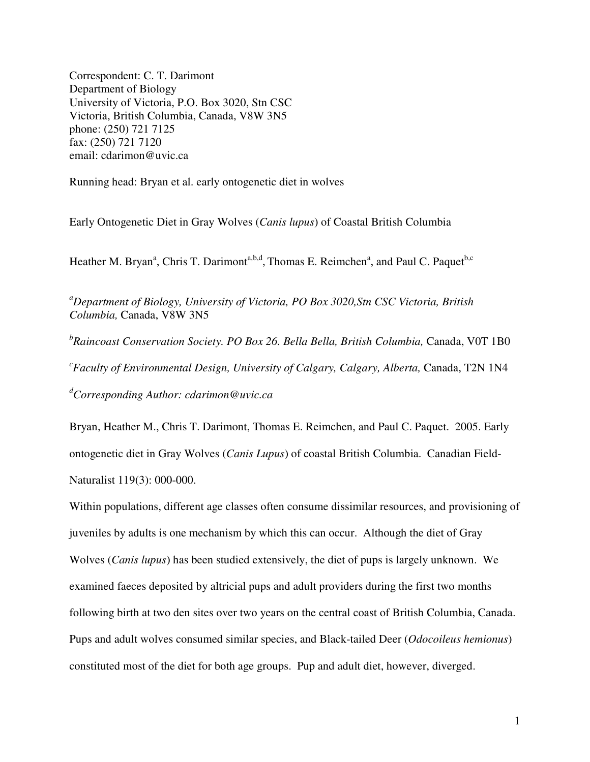Correspondent: C. T. Darimont Department of Biology University of Victoria, P.O. Box 3020, Stn CSC Victoria, British Columbia, Canada, V8W 3N5 phone: (250) 721 7125 fax: (250) 721 7120 email: cdarimon@uvic.ca

Running head: Bryan et al. early ontogenetic diet in wolves

Early Ontogenetic Diet in Gray Wolves (*Canis lupus*) of Coastal British Columbia

Heather M. Bryan<sup>a</sup>, Chris T. Darimont<sup>a,b,d</sup>, Thomas E. Reimchen<sup>a</sup>, and Paul C. Paquet<sup>b,c</sup>

*<sup>a</sup>Department of Biology, University of Victoria, PO Box 3020,Stn CSC Victoria, British Columbia,* Canada, V8W 3N5

<sup>b</sup>Raincoast Conservation Society. PO Box 26. Bella Bella, British Columbia, Canada, V0T 1B0 <sup>c</sup> Faculty of Environmental Design, University of Calgary, Calgary, Alberta, Canada, T2N 1N4 *<sup>d</sup>Corresponding Author: cdarimon@uvic.ca*

Bryan, Heather M., Chris T. Darimont, Thomas E. Reimchen, and Paul C. Paquet. 2005. Early ontogenetic diet in Gray Wolves (*Canis Lupus*) of coastal British Columbia. Canadian Field-Naturalist 119(3): 000-000.

Within populations, different age classes often consume dissimilar resources, and provisioning of juveniles by adults is one mechanism by which this can occur. Although the diet of Gray Wolves (*Canis lupus*) has been studied extensively, the diet of pups is largely unknown. We examined faeces deposited by altricial pups and adult providers during the first two months following birth at two den sites over two years on the central coast of British Columbia, Canada. Pups and adult wolves consumed similar species, and Black-tailed Deer (*Odocoileus hemionus*) constituted most of the diet for both age groups. Pup and adult diet, however, diverged.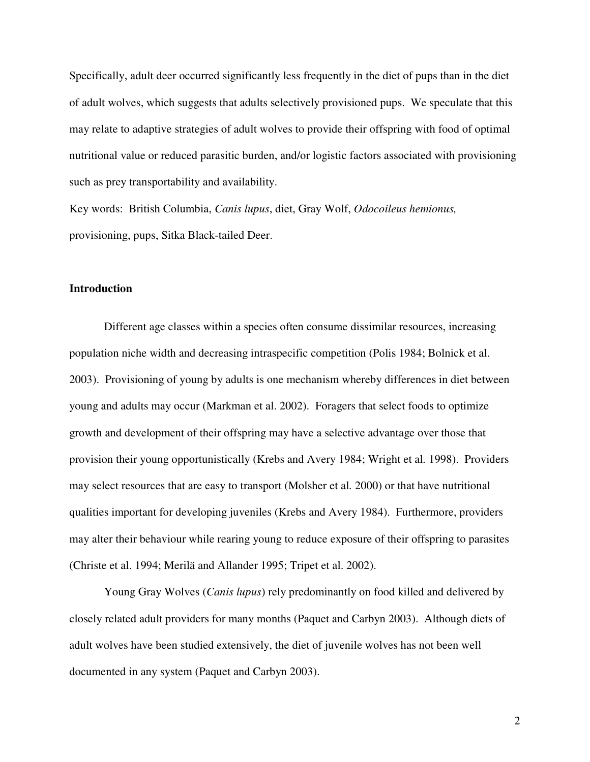Specifically, adult deer occurred significantly less frequently in the diet of pups than in the diet of adult wolves, which suggests that adults selectively provisioned pups. We speculate that this may relate to adaptive strategies of adult wolves to provide their offspring with food of optimal nutritional value or reduced parasitic burden, and/or logistic factors associated with provisioning such as prey transportability and availability.

Key words: British Columbia, *Canis lupus*, diet, Gray Wolf, *Odocoileus hemionus,* provisioning, pups, Sitka Black-tailed Deer.

### **Introduction**

Different age classes within a species often consume dissimilar resources, increasing population niche width and decreasing intraspecific competition (Polis 1984; Bolnick et al. 2003). Provisioning of young by adults is one mechanism whereby differences in diet between young and adults may occur (Markman et al. 2002). Foragers that select foods to optimize growth and development of their offspring may have a selective advantage over those that provision their young opportunistically (Krebs and Avery 1984; Wright et al*.* 1998). Providers may select resources that are easy to transport (Molsher et al*.* 2000) or that have nutritional qualities important for developing juveniles (Krebs and Avery 1984). Furthermore, providers may alter their behaviour while rearing young to reduce exposure of their offspring to parasites (Christe et al. 1994; Merilä and Allander 1995; Tripet et al. 2002).

Young Gray Wolves (*Canis lupus*) rely predominantly on food killed and delivered by closely related adult providers for many months (Paquet and Carbyn 2003). Although diets of adult wolves have been studied extensively, the diet of juvenile wolves has not been well documented in any system (Paquet and Carbyn 2003).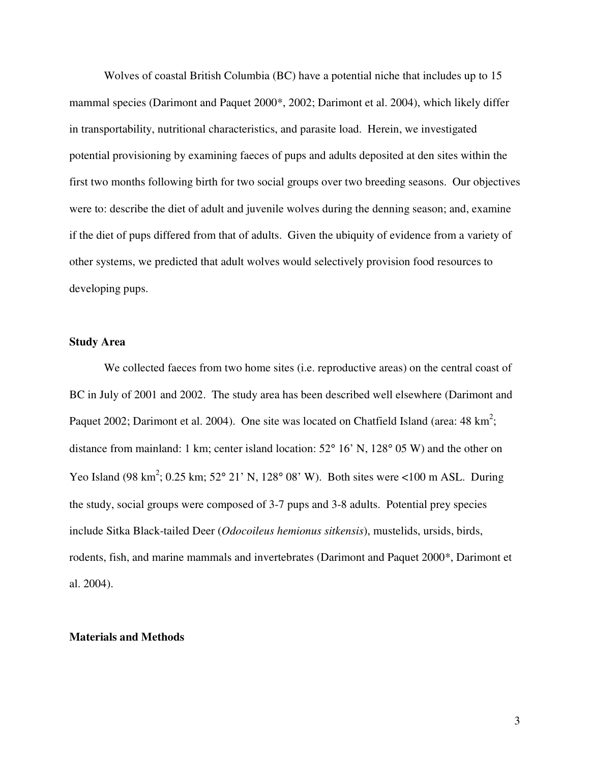Wolves of coastal British Columbia (BC) have a potential niche that includes up to 15 mammal species (Darimont and Paquet 2000\*, 2002; Darimont et al. 2004), which likely differ in transportability, nutritional characteristics, and parasite load. Herein, we investigated potential provisioning by examining faeces of pups and adults deposited at den sites within the first two months following birth for two social groups over two breeding seasons. Our objectives were to: describe the diet of adult and juvenile wolves during the denning season; and, examine if the diet of pups differed from that of adults. Given the ubiquity of evidence from a variety of other systems, we predicted that adult wolves would selectively provision food resources to developing pups.

#### **Study Area**

We collected faeces from two home sites (i.e. reproductive areas) on the central coast of BC in July of 2001 and 2002. The study area has been described well elsewhere (Darimont and Paquet 2002; Darimont et al. 2004). One site was located on Chatfield Island (area:  $48 \text{ km}^2$ ; distance from mainland: 1 km; center island location: 52° 16' N, 128° 05 W) and the other on Yeo Island (98 km<sup>2</sup>; 0.25 km; 52° 21' N, 128° 08' W). Both sites were <100 m ASL. During the study, social groups were composed of 3-7 pups and 3-8 adults. Potential prey species include Sitka Black-tailed Deer (*Odocoileus hemionus sitkensis*), mustelids, ursids, birds, rodents, fish, and marine mammals and invertebrates (Darimont and Paquet 2000\*, Darimont et al. 2004).

### **Materials and Methods**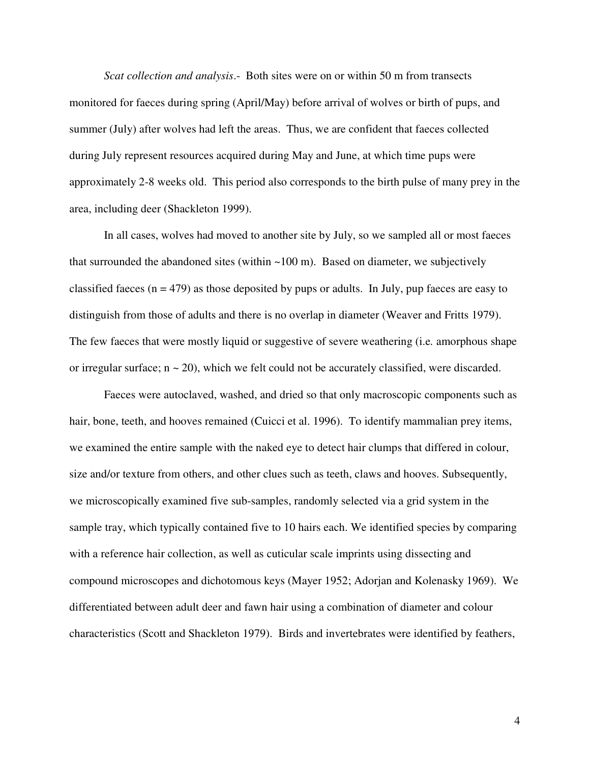*Scat collection and analysis*.- Both sites were on or within 50 m from transects monitored for faeces during spring (April/May) before arrival of wolves or birth of pups, and summer (July) after wolves had left the areas. Thus, we are confident that faeces collected during July represent resources acquired during May and June, at which time pups were approximately 2-8 weeks old. This period also corresponds to the birth pulse of many prey in the area, including deer (Shackleton 1999).

In all cases, wolves had moved to another site by July, so we sampled all or most faeces that surrounded the abandoned sites (within  $\sim 100$  m). Based on diameter, we subjectively classified faeces ( $n = 479$ ) as those deposited by pups or adults. In July, pup faeces are easy to distinguish from those of adults and there is no overlap in diameter (Weaver and Fritts 1979). The few faeces that were mostly liquid or suggestive of severe weathering (i.e*.* amorphous shape or irregular surface;  $n \sim 20$ ), which we felt could not be accurately classified, were discarded.

Faeces were autoclaved, washed, and dried so that only macroscopic components such as hair, bone, teeth, and hooves remained (Cuicci et al. 1996). To identify mammalian prey items, we examined the entire sample with the naked eye to detect hair clumps that differed in colour, size and/or texture from others, and other clues such as teeth, claws and hooves. Subsequently, we microscopically examined five sub-samples, randomly selected via a grid system in the sample tray, which typically contained five to 10 hairs each. We identified species by comparing with a reference hair collection, as well as cuticular scale imprints using dissecting and compound microscopes and dichotomous keys (Mayer 1952; Adorjan and Kolenasky 1969). We differentiated between adult deer and fawn hair using a combination of diameter and colour characteristics (Scott and Shackleton 1979). Birds and invertebrates were identified by feathers,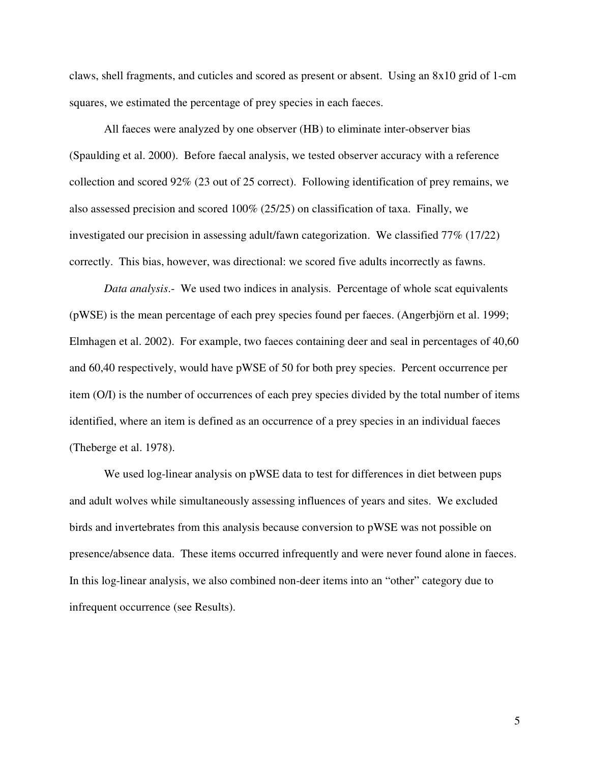claws, shell fragments, and cuticles and scored as present or absent. Using an 8x10 grid of 1-cm squares, we estimated the percentage of prey species in each faeces.

All faeces were analyzed by one observer (HB) to eliminate inter-observer bias (Spaulding et al. 2000). Before faecal analysis, we tested observer accuracy with a reference collection and scored 92% (23 out of 25 correct). Following identification of prey remains, we also assessed precision and scored 100% (25/25) on classification of taxa. Finally, we investigated our precision in assessing adult/fawn categorization. We classified 77% (17/22) correctly. This bias, however, was directional: we scored five adults incorrectly as fawns.

*Data analysis*.- We used two indices in analysis. Percentage of whole scat equivalents (pWSE) is the mean percentage of each prey species found per faeces. (Angerbjörn et al. 1999; Elmhagen et al. 2002). For example, two faeces containing deer and seal in percentages of 40,60 and 60,40 respectively, would have pWSE of 50 for both prey species. Percent occurrence per item (O/I) is the number of occurrences of each prey species divided by the total number of items identified, where an item is defined as an occurrence of a prey species in an individual faeces (Theberge et al. 1978).

We used log-linear analysis on pWSE data to test for differences in diet between pups and adult wolves while simultaneously assessing influences of years and sites. We excluded birds and invertebrates from this analysis because conversion to pWSE was not possible on presence/absence data. These items occurred infrequently and were never found alone in faeces. In this log-linear analysis, we also combined non-deer items into an "other" category due to infrequent occurrence (see Results).

5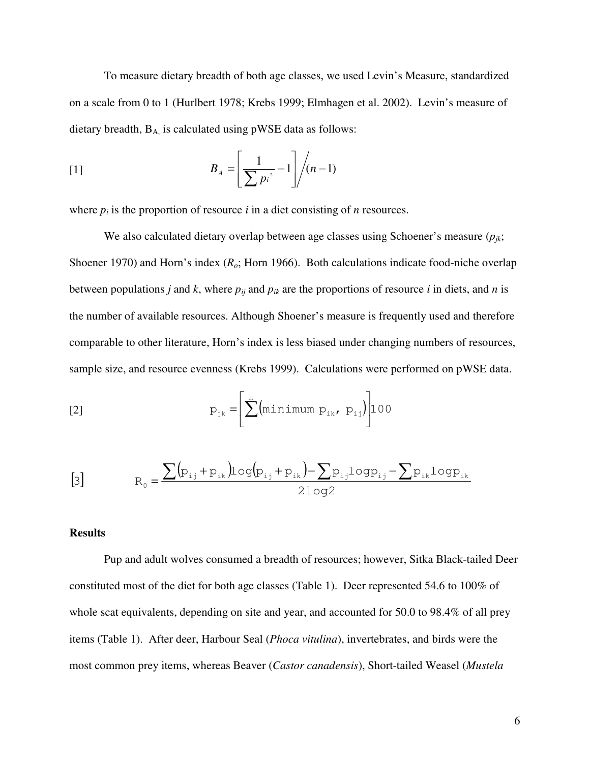To measure dietary breadth of both age classes, we used Levin's Measure, standardized on a scale from 0 to 1 (Hurlbert 1978; Krebs 1999; Elmhagen et al. 2002). Levin's measure of dietary breadth,  $B_A$ , is calculated using pWSE data as follows:

$$
B_A = \left[\frac{1}{\sum p_i^2} - 1\right] \bigg/ (n-1)
$$

where  $p_i$  is the proportion of resource  $i$  in a diet consisting of  $n$  resources.

We also calculated dietary overlap between age classes using Schoener's measure  $(p_{ik};$ Shoener 1970) and Horn's index (*Ro*; Horn 1966). Both calculations indicate food-niche overlap between populations *j* and *k*, where  $p_{ij}$  and  $p_{ik}$  are the proportions of resource *i* in diets, and *n* is the number of available resources. Although Shoener's measure is frequently used and therefore comparable to other literature, Horn's index is less biased under changing numbers of resources, sample size, and resource evenness (Krebs 1999). Calculations were performed on pWSE data.

$$
p_{jk} = \left[\sum_{k=1}^{n} (\text{minimum } p_{ik}, p_{ij})\right] 100
$$

$$
[3] \qquad R_0 = \frac{\sum (p_{i,j} + p_{i,k}) \log (p_{i,j} + p_{i,k}) - \sum p_{i,j} \log p_{i,j} - \sum p_{i,k} \log p_{i,k}}{2 \log 2}
$$

### **Results**

Pup and adult wolves consumed a breadth of resources; however, Sitka Black-tailed Deer constituted most of the diet for both age classes (Table 1). Deer represented 54.6 to 100% of whole scat equivalents, depending on site and year, and accounted for 50.0 to 98.4% of all prey items (Table 1). After deer, Harbour Seal (*Phoca vitulina*), invertebrates, and birds were the most common prey items, whereas Beaver (*Castor canadensis*), Short-tailed Weasel (*Mustela*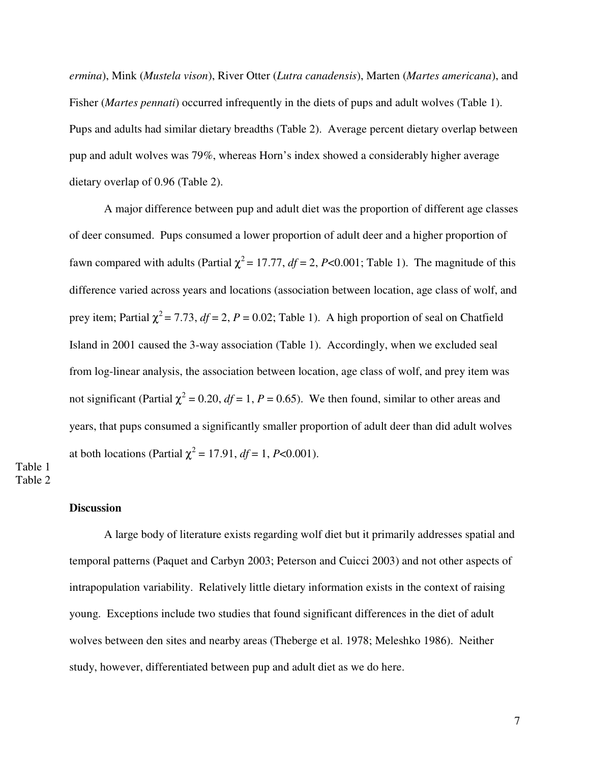*ermina*), Mink (*Mustela vison*), River Otter (*Lutra canadensis*), Marten (*Martes americana*), and Fisher (*Martes pennati*) occurred infrequently in the diets of pups and adult wolves (Table 1). Pups and adults had similar dietary breadths (Table 2). Average percent dietary overlap between pup and adult wolves was 79%, whereas Horn's index showed a considerably higher average dietary overlap of 0.96 (Table 2).

A major difference between pup and adult diet was the proportion of different age classes of deer consumed. Pups consumed a lower proportion of adult deer and a higher proportion of fawn compared with adults (Partial  $\chi^2$  = 17.77, *df* = 2, *P*<0.001; Table 1). The magnitude of this difference varied across years and locations (association between location, age class of wolf, and prey item; Partial  $\chi^2$  = 7.73,  $df$  = 2,  $P$  = 0.02; Table 1). A high proportion of seal on Chatfield Island in 2001 caused the 3-way association (Table 1). Accordingly, when we excluded seal from log-linear analysis, the association between location, age class of wolf, and prey item was not significant (Partial  $\chi^2$  = 0.20, *df* = 1, *P* = 0.65). We then found, similar to other areas and years, that pups consumed a significantly smaller proportion of adult deer than did adult wolves at both locations (Partial  $\chi^2 = 17.91$ ,  $df = 1$ , *P*<0.001).

# Table 1 Table 2

# **Discussion**

A large body of literature exists regarding wolf diet but it primarily addresses spatial and temporal patterns (Paquet and Carbyn 2003; Peterson and Cuicci 2003) and not other aspects of intrapopulation variability. Relatively little dietary information exists in the context of raising young. Exceptions include two studies that found significant differences in the diet of adult wolves between den sites and nearby areas (Theberge et al. 1978; Meleshko 1986). Neither study, however, differentiated between pup and adult diet as we do here.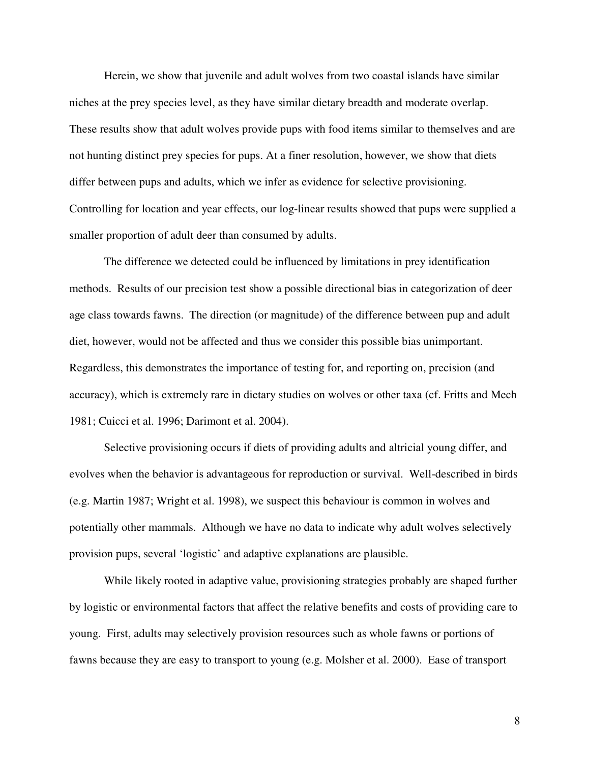Herein, we show that juvenile and adult wolves from two coastal islands have similar niches at the prey species level, as they have similar dietary breadth and moderate overlap. These results show that adult wolves provide pups with food items similar to themselves and are not hunting distinct prey species for pups. At a finer resolution, however, we show that diets differ between pups and adults, which we infer as evidence for selective provisioning. Controlling for location and year effects, our log-linear results showed that pups were supplied a smaller proportion of adult deer than consumed by adults.

The difference we detected could be influenced by limitations in prey identification methods. Results of our precision test show a possible directional bias in categorization of deer age class towards fawns. The direction (or magnitude) of the difference between pup and adult diet, however, would not be affected and thus we consider this possible bias unimportant. Regardless, this demonstrates the importance of testing for, and reporting on, precision (and accuracy), which is extremely rare in dietary studies on wolves or other taxa (cf. Fritts and Mech 1981; Cuicci et al. 1996; Darimont et al. 2004).

Selective provisioning occurs if diets of providing adults and altricial young differ, and evolves when the behavior is advantageous for reproduction or survival. Well-described in birds (e.g. Martin 1987; Wright et al. 1998), we suspect this behaviour is common in wolves and potentially other mammals. Although we have no data to indicate why adult wolves selectively provision pups, several 'logistic' and adaptive explanations are plausible.

While likely rooted in adaptive value, provisioning strategies probably are shaped further by logistic or environmental factors that affect the relative benefits and costs of providing care to young. First, adults may selectively provision resources such as whole fawns or portions of fawns because they are easy to transport to young (e.g. Molsher et al. 2000). Ease of transport

8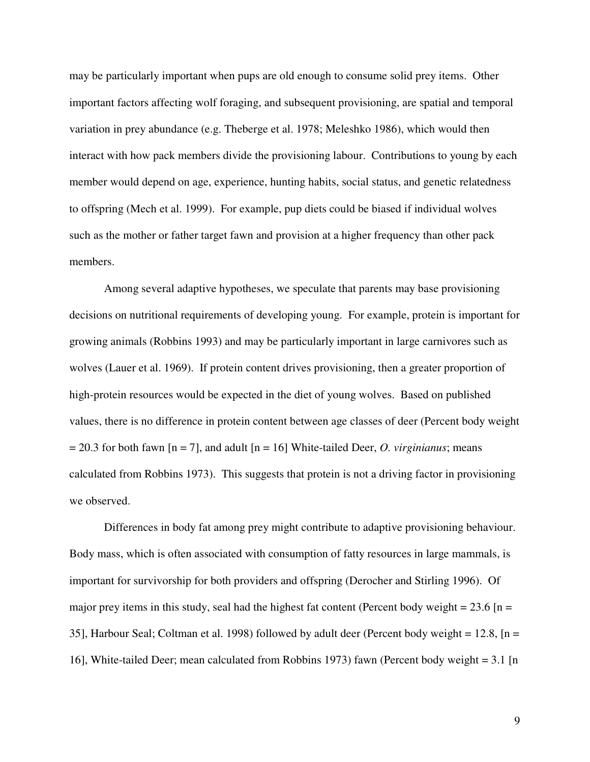may be particularly important when pups are old enough to consume solid prey items. Other important factors affecting wolf foraging, and subsequent provisioning, are spatial and temporal variation in prey abundance (e.g. Theberge et al. 1978; Meleshko 1986), which would then interact with how pack members divide the provisioning labour. Contributions to young by each member would depend on age, experience, hunting habits, social status, and genetic relatedness to offspring (Mech et al. 1999). For example, pup diets could be biased if individual wolves such as the mother or father target fawn and provision at a higher frequency than other pack members.

Among several adaptive hypotheses, we speculate that parents may base provisioning decisions on nutritional requirements of developing young. For example, protein is important for growing animals (Robbins 1993) and may be particularly important in large carnivores such as wolves (Lauer et al. 1969). If protein content drives provisioning, then a greater proportion of high-protein resources would be expected in the diet of young wolves. Based on published values, there is no difference in protein content between age classes of deer (Percent body weight = 20.3 for both fawn [n = 7], and adult [n = 16] White-tailed Deer, *O. virginianus*; means calculated from Robbins 1973). This suggests that protein is not a driving factor in provisioning we observed.

Differences in body fat among prey might contribute to adaptive provisioning behaviour. Body mass, which is often associated with consumption of fatty resources in large mammals, is important for survivorship for both providers and offspring (Derocher and Stirling 1996). Of major prey items in this study, seal had the highest fat content (Percent body weight  $= 23.6$  [n  $=$ 35], Harbour Seal; Coltman et al. 1998) followed by adult deer (Percent body weight = 12.8, [n = 16], White-tailed Deer; mean calculated from Robbins 1973) fawn (Percent body weight = 3.1 [n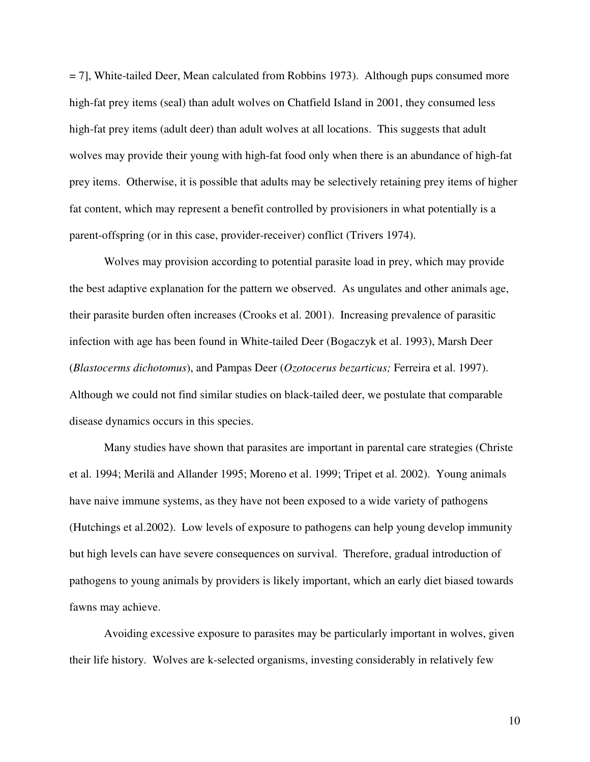= 7], White-tailed Deer, Mean calculated from Robbins 1973). Although pups consumed more high-fat prey items (seal) than adult wolves on Chatfield Island in 2001, they consumed less high-fat prey items (adult deer) than adult wolves at all locations. This suggests that adult wolves may provide their young with high-fat food only when there is an abundance of high-fat prey items. Otherwise, it is possible that adults may be selectively retaining prey items of higher fat content, which may represent a benefit controlled by provisioners in what potentially is a parent-offspring (or in this case, provider-receiver) conflict (Trivers 1974).

Wolves may provision according to potential parasite load in prey, which may provide the best adaptive explanation for the pattern we observed. As ungulates and other animals age, their parasite burden often increases (Crooks et al. 2001). Increasing prevalence of parasitic infection with age has been found in White-tailed Deer (Bogaczyk et al. 1993), Marsh Deer (*Blastocerms dichotomus*), and Pampas Deer (*Ozotocerus bezarticus;* Ferreira et al. 1997). Although we could not find similar studies on black-tailed deer, we postulate that comparable disease dynamics occurs in this species.

Many studies have shown that parasites are important in parental care strategies (Christe et al. 1994; Merilä and Allander 1995; Moreno et al. 1999; Tripet et al. 2002). Young animals have naive immune systems, as they have not been exposed to a wide variety of pathogens (Hutchings et al.2002). Low levels of exposure to pathogens can help young develop immunity but high levels can have severe consequences on survival. Therefore, gradual introduction of pathogens to young animals by providers is likely important, which an early diet biased towards fawns may achieve.

Avoiding excessive exposure to parasites may be particularly important in wolves, given their life history. Wolves are k-selected organisms, investing considerably in relatively few

10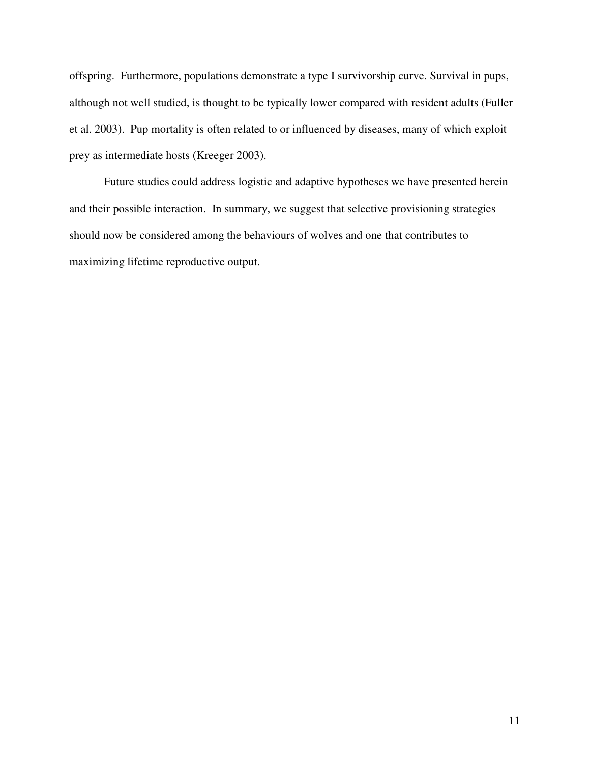offspring. Furthermore, populations demonstrate a type I survivorship curve. Survival in pups, although not well studied, is thought to be typically lower compared with resident adults (Fuller et al. 2003). Pup mortality is often related to or influenced by diseases, many of which exploit prey as intermediate hosts (Kreeger 2003).

Future studies could address logistic and adaptive hypotheses we have presented herein and their possible interaction. In summary, we suggest that selective provisioning strategies should now be considered among the behaviours of wolves and one that contributes to maximizing lifetime reproductive output.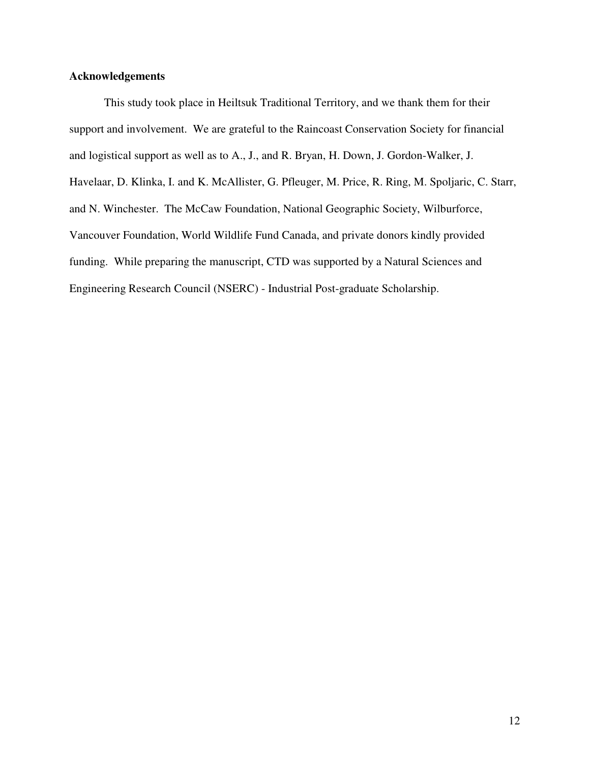# **Acknowledgements**

This study took place in Heiltsuk Traditional Territory, and we thank them for their support and involvement. We are grateful to the Raincoast Conservation Society for financial and logistical support as well as to A., J., and R. Bryan, H. Down, J. Gordon-Walker, J. Havelaar, D. Klinka, I. and K. McAllister, G. Pfleuger, M. Price, R. Ring, M. Spoljaric, C. Starr, and N. Winchester. The McCaw Foundation, National Geographic Society, Wilburforce, Vancouver Foundation, World Wildlife Fund Canada, and private donors kindly provided funding. While preparing the manuscript, CTD was supported by a Natural Sciences and Engineering Research Council (NSERC) - Industrial Post-graduate Scholarship.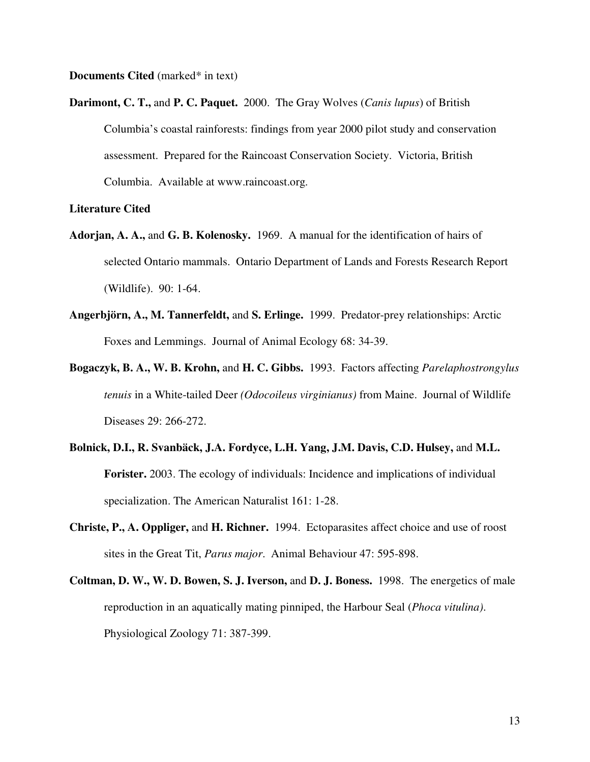**Documents Cited** (marked\* in text)

**Darimont, C. T.,** and **P. C. Paquet.** 2000. The Gray Wolves (*Canis lupus*) of British Columbia's coastal rainforests: findings from year 2000 pilot study and conservation assessment. Prepared for the Raincoast Conservation Society. Victoria, British Columbia. Available at www.raincoast.org.

#### **Literature Cited**

- **Adorjan, A. A.,** and **G. B. Kolenosky.** 1969. A manual for the identification of hairs of selected Ontario mammals. Ontario Department of Lands and Forests Research Report (Wildlife). 90: 1-64.
- **Angerbjörn, A., M. Tannerfeldt,** and **S. Erlinge.** 1999. Predator-prey relationships: Arctic Foxes and Lemmings. Journal of Animal Ecology 68: 34-39.
- **Bogaczyk, B. A., W. B. Krohn,** and **H. C. Gibbs.** 1993. Factors affecting *Parelaphostrongylus tenuis* in a White-tailed Deer *(Odocoileus virginianus)* from Maine. Journal of Wildlife Diseases 29: 266-272.
- **Bolnick, D.I., R. Svanbäck, J.A. Fordyce, L.H. Yang, J.M. Davis, C.D. Hulsey,** and **M.L. Forister.** 2003. The ecology of individuals: Incidence and implications of individual specialization. The American Naturalist 161: 1-28.
- **Christe, P., A. Oppliger,** and **H. Richner.** 1994. Ectoparasites affect choice and use of roost sites in the Great Tit, *Parus major*. Animal Behaviour 47: 595-898.
- **Coltman, D. W., W. D. Bowen, S. J. Iverson,** and **D. J. Boness.** 1998. The energetics of male reproduction in an aquatically mating pinniped, the Harbour Seal (*Phoca vitulina)*. Physiological Zoology 71: 387-399.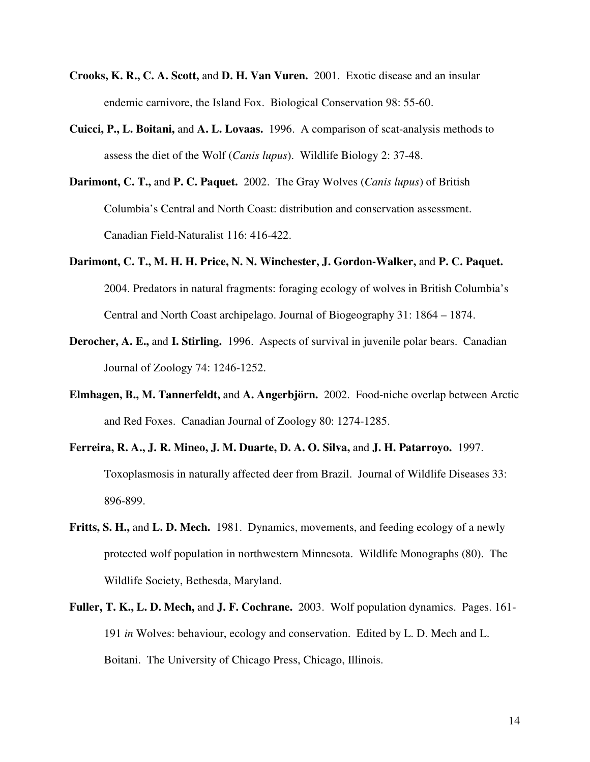- **Crooks, K. R., C. A. Scott,** and **D. H. Van Vuren.** 2001. Exotic disease and an insular endemic carnivore, the Island Fox. Biological Conservation 98: 55-60.
- **Cuicci, P., L. Boitani,** and **A. L. Lovaas.** 1996. A comparison of scat-analysis methods to assess the diet of the Wolf (*Canis lupus*). Wildlife Biology 2: 37-48.
- **Darimont, C. T.,** and **P. C. Paquet.** 2002. The Gray Wolves (*Canis lupus*) of British Columbia's Central and North Coast: distribution and conservation assessment. Canadian Field-Naturalist 116: 416-422.
- **Darimont, C. T., M. H. H. Price, N. N. Winchester, J. Gordon-Walker,** and **P. C. Paquet.**  2004. Predators in natural fragments: foraging ecology of wolves in British Columbia's Central and North Coast archipelago. Journal of Biogeography 31: 1864 – 1874.
- **Derocher, A. E.,** and **I. Stirling.** 1996. Aspects of survival in juvenile polar bears. Canadian Journal of Zoology 74: 1246-1252.
- **Elmhagen, B., M. Tannerfeldt,** and **A. Angerbjörn.** 2002. Food-niche overlap between Arctic and Red Foxes. Canadian Journal of Zoology 80: 1274-1285.
- **Ferreira, R. A., J. R. Mineo, J. M. Duarte, D. A. O. Silva,** and **J. H. Patarroyo.** 1997. Toxoplasmosis in naturally affected deer from Brazil. Journal of Wildlife Diseases 33: 896-899.
- **Fritts, S. H.,** and **L. D. Mech.** 1981. Dynamics, movements, and feeding ecology of a newly protected wolf population in northwestern Minnesota. Wildlife Monographs (80). The Wildlife Society, Bethesda, Maryland.
- **Fuller, T. K., L. D. Mech,** and **J. F. Cochrane.** 2003. Wolf population dynamics. Pages. 161- 191 *in* Wolves: behaviour, ecology and conservation. Edited by L. D. Mech and L. Boitani. The University of Chicago Press, Chicago, Illinois.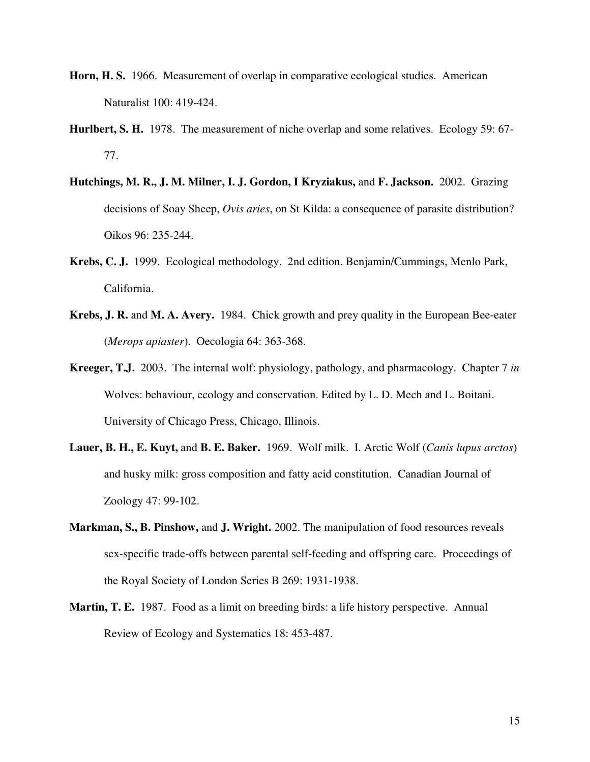- **Horn, H. S.** 1966. Measurement of overlap in comparative ecological studies. American Naturalist 100: 419-424.
- **Hurlbert, S. H.** 1978. The measurement of niche overlap and some relatives. Ecology 59: 67- 77.
- **Hutchings, M. R., J. M. Milner, I. J. Gordon, I Kryziakus,** and **F. Jackson.** 2002. Grazing decisions of Soay Sheep, *Ovis aries*, on St Kilda: a consequence of parasite distribution? Oikos 96: 235-244.
- **Krebs, C. J.** 1999. Ecological methodology. 2nd edition. Benjamin/Cummings, Menlo Park, California.
- **Krebs, J. R.** and **M. A. Avery.** 1984. Chick growth and prey quality in the European Bee-eater (*Merops apiaster*). Oecologia 64: 363-368.
- **Kreeger, T.J.** 2003. The internal wolf: physiology, pathology, and pharmacology. Chapter 7 *in* Wolves: behaviour, ecology and conservation. Edited by L. D. Mech and L. Boitani. University of Chicago Press, Chicago, Illinois.
- **Lauer, B. H., E. Kuyt,** and **B. E. Baker.** 1969. Wolf milk. I. Arctic Wolf (*Canis lupus arctos*) and husky milk: gross composition and fatty acid constitution. Canadian Journal of Zoology 47: 99-102.
- **Markman, S., B. Pinshow,** and **J. Wright.** 2002. The manipulation of food resources reveals sex-specific trade-offs between parental self-feeding and offspring care. Proceedings of the Royal Society of London Series B 269: 1931-1938.
- **Martin, T. E.** 1987. Food as a limit on breeding birds: a life history perspective. Annual Review of Ecology and Systematics 18: 453-487.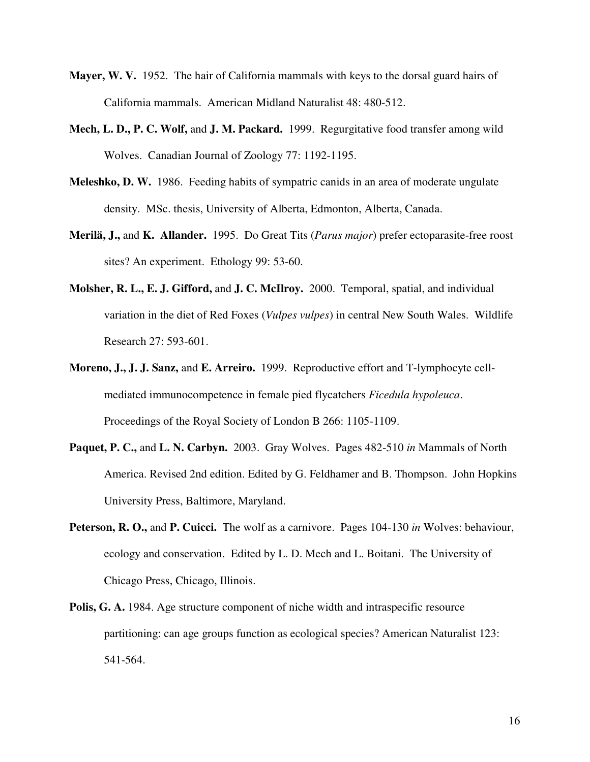- **Mayer, W. V.** 1952. The hair of California mammals with keys to the dorsal guard hairs of California mammals. American Midland Naturalist 48: 480-512.
- **Mech, L. D., P. C. Wolf,** and **J. M. Packard.** 1999. Regurgitative food transfer among wild Wolves. Canadian Journal of Zoology 77: 1192-1195.
- **Meleshko, D. W.** 1986. Feeding habits of sympatric canids in an area of moderate ungulate density. MSc. thesis, University of Alberta, Edmonton, Alberta, Canada.
- **Merilä, J.,** and **K. Allander.** 1995. Do Great Tits (*Parus major*) prefer ectoparasite-free roost sites? An experiment. Ethology 99: 53-60.
- **Molsher, R. L., E. J. Gifford,** and **J. C. McIlroy.** 2000. Temporal, spatial, and individual variation in the diet of Red Foxes (*Vulpes vulpes*) in central New South Wales. Wildlife Research 27: 593-601.
- **Moreno, J., J. J. Sanz,** and **E. Arreiro.** 1999. Reproductive effort and T-lymphocyte cellmediated immunocompetence in female pied flycatchers *Ficedula hypoleuca*. Proceedings of the Royal Society of London B 266: 1105-1109.
- **Paquet, P. C.,** and **L. N. Carbyn.** 2003. Gray Wolves. Pages 482-510 *in* Mammals of North America. Revised 2nd edition. Edited by G. Feldhamer and B. Thompson. John Hopkins University Press, Baltimore, Maryland.
- **Peterson, R. O.,** and **P. Cuicci.** The wolf as a carnivore. Pages 104-130 *in* Wolves: behaviour, ecology and conservation. Edited by L. D. Mech and L. Boitani. The University of Chicago Press, Chicago, Illinois.
- **Polis, G. A.** 1984. Age structure component of niche width and intraspecific resource partitioning: can age groups function as ecological species? American Naturalist 123: 541-564.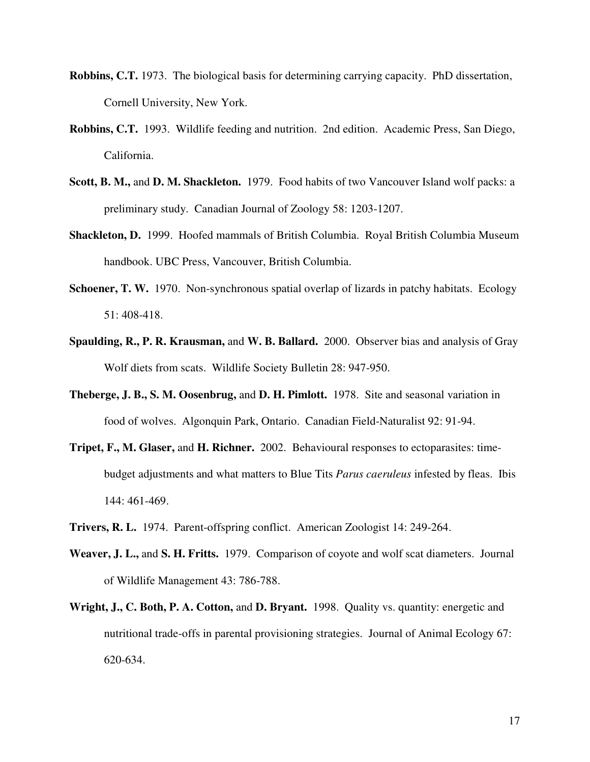- **Robbins, C.T.** 1973. The biological basis for determining carrying capacity. PhD dissertation, Cornell University, New York.
- **Robbins, C.T.** 1993. Wildlife feeding and nutrition. 2nd edition. Academic Press, San Diego, California.
- **Scott, B. M.,** and **D. M. Shackleton.** 1979. Food habits of two Vancouver Island wolf packs: a preliminary study. Canadian Journal of Zoology 58: 1203-1207.
- **Shackleton, D.** 1999. Hoofed mammals of British Columbia. Royal British Columbia Museum handbook. UBC Press, Vancouver, British Columbia.
- **Schoener, T. W.** 1970. Non-synchronous spatial overlap of lizards in patchy habitats. Ecology 51: 408-418.
- **Spaulding, R., P. R. Krausman,** and **W. B. Ballard.** 2000. Observer bias and analysis of Gray Wolf diets from scats. Wildlife Society Bulletin 28: 947-950.
- **Theberge, J. B., S. M. Oosenbrug,** and **D. H. Pimlott.** 1978. Site and seasonal variation in food of wolves. Algonquin Park, Ontario. Canadian Field-Naturalist 92: 91-94.
- **Tripet, F., M. Glaser,** and **H. Richner.** 2002. Behavioural responses to ectoparasites: timebudget adjustments and what matters to Blue Tits *Parus caeruleus* infested by fleas. Ibis 144: 461-469.
- **Trivers, R. L.** 1974. Parent-offspring conflict. American Zoologist 14: 249-264.
- **Weaver, J. L.,** and **S. H. Fritts.** 1979. Comparison of coyote and wolf scat diameters. Journal of Wildlife Management 43: 786-788.
- **Wright, J., C. Both, P. A. Cotton,** and **D. Bryant.** 1998. Quality vs. quantity: energetic and nutritional trade-offs in parental provisioning strategies. Journal of Animal Ecology 67: 620-634.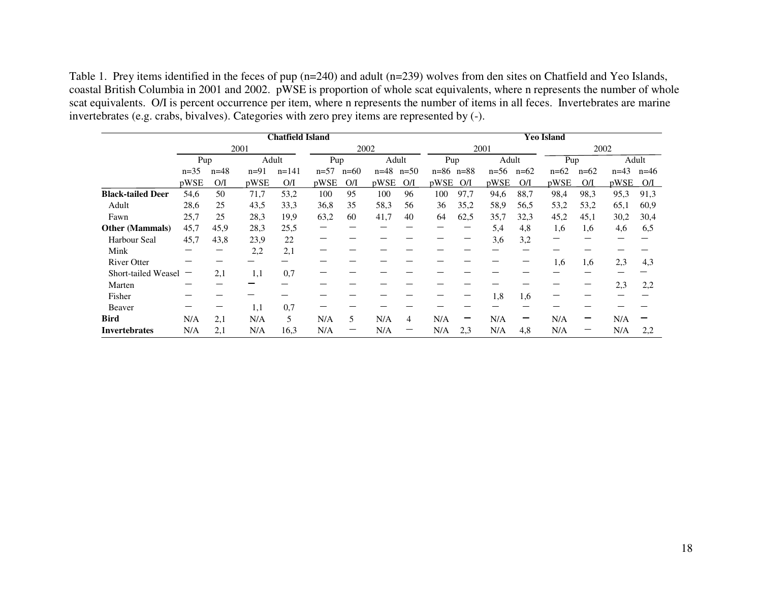Table 1. Prey items identified in the feces of pup (n=240) and adult (n=239) wolves from den sites on Chatfield and Yeo Islands, coastal British Columbia in 2001 and 2002. pWSE is proportion of whole scat equivalents, where n represents the number of whole scat equivalents. O/I is percent occurrence per item, where n represents the number of items in all feces. Invertebrates are marine invertebrates (e.g. crabs, bivalves). Categories with zero prey items are represented by (-).

|                          | <b>Chatfield Island</b> |        |        |           |        |        |          | <b>Yeo Island</b> |               |      |          |        |        |        |          |        |
|--------------------------|-------------------------|--------|--------|-----------|--------|--------|----------|-------------------|---------------|------|----------|--------|--------|--------|----------|--------|
|                          | 2001                    |        |        |           | 2002   |        |          |                   | 2001          |      |          |        | 2002   |        |          |        |
|                          | Pup                     |        | Adult  |           | Pup    |        | Adult    |                   | Pup           |      | Adult    |        | Pup    |        | Adult    |        |
|                          | $n=35$                  | $n=48$ | $n=91$ | $n = 141$ | $n=57$ | $n=60$ | $n = 48$ | $n=50$            | $n=86$ $n=88$ |      | $n = 56$ | $n=62$ | $n=62$ | $n=62$ | $n = 43$ | $n=46$ |
|                          | pWSE                    | O/I    | pWSE   | O/I       | pWSE   | O/I    | pWSE     | O/I               | pWSE          | O/I  | pWSE     | O/I    | pWSE   | O/I    | pWSE     | O/I    |
| <b>Black-tailed Deer</b> | 54,6                    | 50     | 71,7   | 53,2      | 100    | 95     | 100      | 96                | 100           | 97,7 | 94,6     | 88,7   | 98,4   | 98.3   | 95,3     | 91,3   |
| Adult                    | 28,6                    | 25     | 43,5   | 33,3      | 36,8   | 35     | 58,3     | 56                | 36            | 35,2 | 58,9     | 56,5   | 53,2   | 53,2   | 65,1     | 60,9   |
| Fawn                     | 25,7                    | 25     | 28,3   | 19,9      | 63,2   | 60     | 41,7     | 40                | 64            | 62,5 | 35,7     | 32,3   | 45,2   | 45,1   | 30,2     | 30,4   |
| <b>Other (Mammals)</b>   | 45,7                    | 45,9   | 28,3   | 25,5      |        |        |          |                   |               |      | 5,4      | 4,8    | 1,6    | 1.6    | 4,6      | 6,5    |
| <b>Harbour Seal</b>      | 45,7                    | 43,8   | 23,9   | 22        |        |        |          |                   |               |      | 3,6      | 3,2    |        |        |          |        |
| Mink                     |                         |        | 2,2    | 2,1       |        |        |          |                   |               |      |          |        |        |        |          |        |
| <b>River Otter</b>       |                         |        |        |           |        |        |          |                   |               |      |          |        | 1,6    | 1,6    | 2,3      | 4,3    |
| Short-tailed Weasel      |                         | 2,1    | 1,1    | 0,7       |        |        |          |                   |               |      |          |        |        |        |          |        |
| Marten                   |                         |        |        |           |        |        |          |                   |               |      |          |        |        |        | 2,3      | 2,2    |
| Fisher                   |                         |        |        |           |        |        |          |                   |               |      | 1,8      | 1,6    |        |        |          |        |
| Beaver                   |                         |        | 1,1    | 0,7       |        |        |          |                   |               |      |          |        |        |        |          |        |
| <b>Bird</b>              | N/A                     | 2,1    | N/A    | 5         | N/A    | 5      | N/A      | 4                 | N/A           |      | N/A      |        | N/A    |        | N/A      |        |
| <b>Invertebrates</b>     | N/A                     | 2,1    | N/A    | 16,3      | N/A    |        | N/A      |                   | N/A           | 2.3  | N/A      | 4,8    | N/A    |        | N/A      | 2,2    |